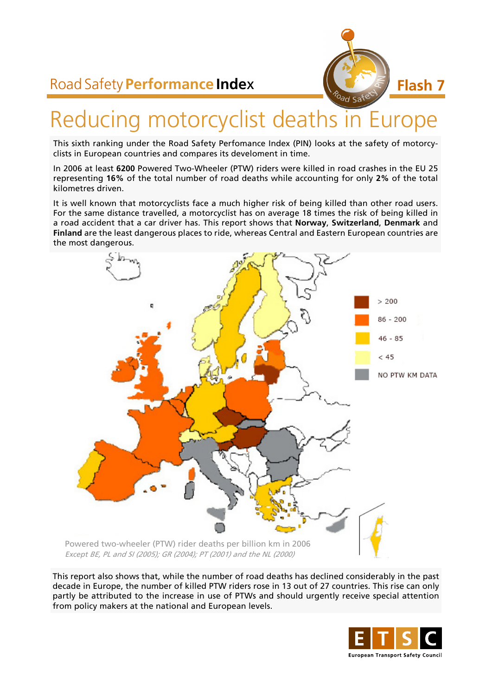# Road Safety **Performance Inde**x



# Reducing motorcyclist deaths in Europe

This sixth ranking under the Road Safety Perfomance Index (PIN) looks at the safety of motorcyclists in European countries and compares its develoment in time.

In 2006 at least **6200** Powered Two-Wheeler (PTW) riders were killed in road crashes in the EU 25 representing **16%** of the total number of road deaths while accounting for only **2%** of the total kilometres driven.

It is well known that motorcyclists face a much higher risk of being killed than other road users. For the same distance travelled, a motorcyclist has on average 18 times the risk of being killed in a road accident that a car driver has. This report shows that **Norway**, **Switzerland**, **Denmark** and **Finland** are the least dangerous places to ride, whereas Central and Eastern European countries are the most dangerous.



This report also shows that, while the number of road deaths has declined considerably in the past decade in Europe, the number of killed PTW riders rose in 13 out of 27 countries. This rise can only partly be attributed to the increase in use of PTWs and should urgently receive special attention from policy makers at the national and European levels.

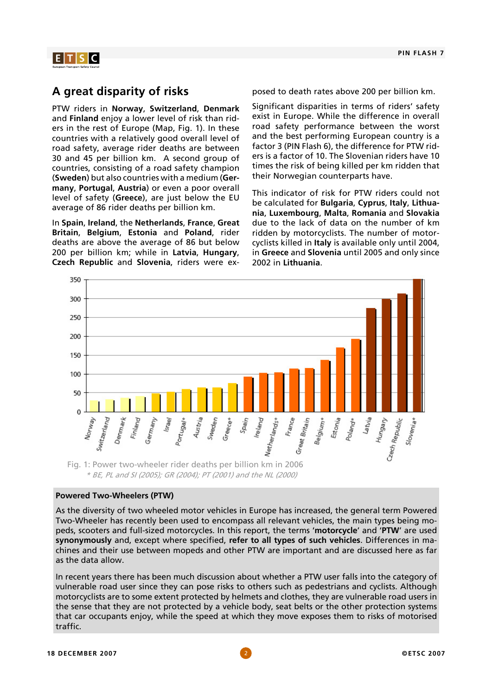

### **A great disparity of risks**

PTW riders in **Norway**, **Switzerland**, **Denmark** and **Finland** enjoy a lower level of risk than riders in the rest of Europe (Map, Fig. 1). In these countries with a relatively good overall level of road safety, average rider deaths are between 30 and 45 per billion km. A second group of countries, consisting of a road safety champion (**Sweden**) but also countries with a medium (**Germany**, **Portugal**, **Austria**) or even a poor overall level of safety (**Greece**), are just below the EU average of 86 rider deaths per billion km.

In **Spain**, **Ireland**, the **Netherlands**, **France**, **Great Britain**, **Belgium**, **Estonia** and **Poland**, rider deaths are above the average of 86 but below 200 per billion km; while in **Latvia**, **Hungary**, **Czech Republic** and **Slovenia**, riders were exposed to death rates above 200 per billion km.

Significant disparities in terms of riders' safety exist in Europe. While the difference in overall road safety performance between the worst and the best performing European country is a factor 3 (PIN Flash 6), the difference for PTW riders is a factor of 10. The Slovenian riders have 10 times the risk of being killed per km ridden that their Norwegian counterparts have.

This indicator of risk for PTW riders could not be calculated for **Bulgaria**, **Cyprus**, **Italy**, **Lithuania**, **Luxembourg**, **Malta**, **Romania** and **Slovakia** due to the lack of data on the number of km ridden by motorcyclists. The number of motorcyclists killed in **Italy** is available only until 2004, in **Greece** and **Slovenia** until 2005 and only since 2002 in **Lithuania**.



\* BE, PL and SI (2005); GR (2004); PT (2001) and the NL (2000)

#### **Powered Two-Wheelers (PTW)**

As the diversity of two wheeled motor vehicles in Europe has increased, the general term Powered Two-Wheeler has recently been used to encompass all relevant vehicles, the main types being mopeds, scooters and full-sized motorcycles. In this report, the terms '**motorcycle**' and '**PTW**' are used **synonymously** and, except where specified, **refer to all types of such vehicles**. Differences in machines and their use between mopeds and other PTW are important and are discussed here as far as the data allow.

In recent years there has been much discussion about whether a PTW user falls into the category of vulnerable road user since they can pose risks to others such as pedestrians and cyclists. Although motorcyclists are to some extent protected by helmets and clothes, they are vulnerable road users in the sense that they are not protected by a vehicle body, seat belts or the other protection systems that car occupants enjoy, while the speed at which they move exposes them to risks of motorised traffic.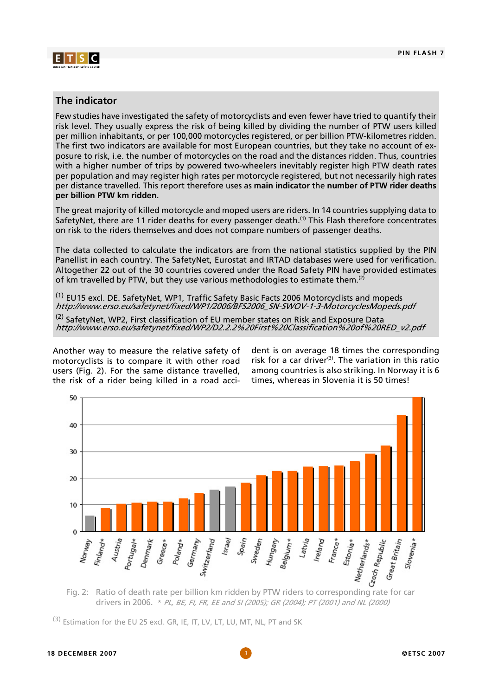

#### **The indicator**

Few studies have investigated the safety of motorcyclists and even fewer have tried to quantify their risk level. They usually express the risk of being killed by dividing the number of PTW users killed per million inhabitants, or per 100,000 motorcycles registered, or per billion PTW-kilometres ridden. The first two indicators are available for most European countries, but they take no account of exposure to risk, i.e. the number of motorcycles on the road and the distances ridden. Thus, countries with a higher number of trips by powered two-wheelers inevitably register high PTW death rates per population and may register high rates per motorcycle registered, but not necessarily high rates per distance travelled. This report therefore uses as **main indicator** the **number of PTW rider deaths per billion PTW km ridden**.

The great majority of killed motorcycle and moped users are riders. In 14 countries supplying data to SafetyNet, there are 11 rider deaths for every passenger death.<sup>(1)</sup> This Flash therefore concentrates on risk to the riders themselves and does not compare numbers of passenger deaths.

The data collected to calculate the indicators are from the national statistics supplied by the PIN Panellist in each country. The SafetyNet, Eurostat and IRTAD databases were used for verification. Altogether 22 out of the 30 countries covered under the Road Safety PIN have provided estimates of km travelled by PTW, but they use various methodologies to estimate them.<sup>(2)</sup>

(1) EU15 excl. DE. SafetyNet, WP1, Traffic Safety Basic Facts 2006 Motorcyclists and mopeds http://www.erso.eu/safetynet/fixed/WP1/2006/BFS2006\_SN-SWOV-1-3-MotorcyclesMopeds.pdf

<sup>(2)</sup> SafetyNet, WP2, First classification of EU member states on Risk and Exposure Data http://www.erso.eu/safetynet/fixed/WP2/D2.2.2%20First%20Classification%20of%20RED\_v2.pdf

Another way to measure the relative safety of motorcyclists is to compare it with other road users (Fig. 2). For the same distance travelled, the risk of a rider being killed in a road accident is on average 18 times the corresponding risk for a car driver<sup>(3)</sup>. The variation in this ratio among countries is also striking. In Norway it is 6 times, whereas in Slovenia it is 50 times!



drivers in 2006. \* PL, BE, FI, FR, EE and SI (2005); GR (2004); PT (2001) and NL (2000)

(3) Estimation for the EU 25 excl. GR, IE, IT, LV, LT, LU, MT, NL, PT and SK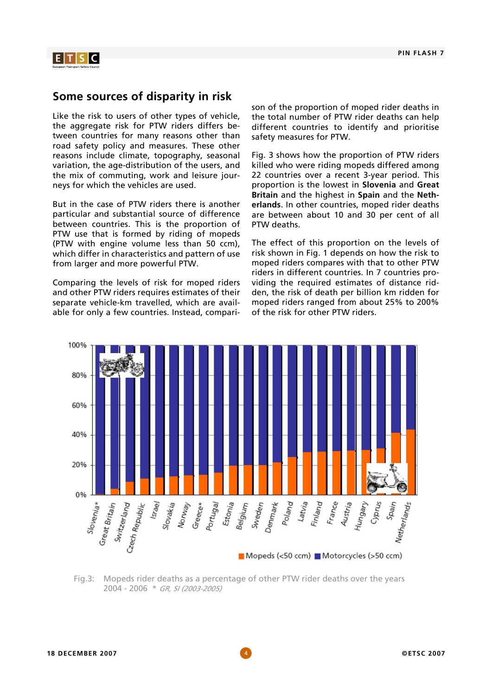

### **Some sources of disparity in risk**

Like the risk to users of other types of vehicle, the aggregate risk for PTW riders differs between countries for many reasons other than road safety policy and measures. These other reasons include climate, topography, seasonal variation, the age-distribution of the users, and the mix of commuting, work and leisure journeys for which the vehicles are used.

But in the case of PTW riders there is another particular and substantial source of difference between countries. This is the proportion of PTW use that is formed by riding of mopeds (PTW with engine volume less than 50 ccm), which differ in characteristics and pattern of use from larger and more powerful PTW.

Comparing the levels of risk for moped riders and other PTW riders requires estimates of their separate vehicle-km travelled, which are available for only a few countries. Instead, comparison of the proportion of moped rider deaths in the total number of PTW rider deaths can help different countries to identify and prioritise safety measures for PTW.

Fig. 3 shows how the proportion of PTW riders killed who were riding mopeds differed among 22 countries over a recent 3-year period. This proportion is the lowest in **Slovenia** and **Great Britain** and the highest in **Spain** and the **Netherlands**. In other countries, moped rider deaths are between about 10 and 30 per cent of all PTW deaths.

The effect of this proportion on the levels of risk shown in Fig. 1 depends on how the risk to moped riders compares with that to other PTW riders in different countries. In 7 countries providing the required estimates of distance ridden, the risk of death per billion km ridden for moped riders ranged from about 25% to 200% of the risk for other PTW riders.



Fig.3: Mopeds rider deaths as a percentage of other PTW rider deaths over the years 2004 - 2006 \* GR, SI (2003-2005)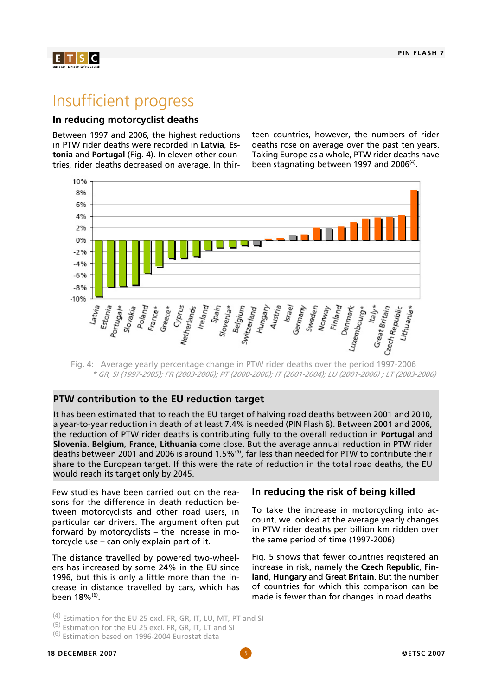

# Insufficient progress

#### **In reducing motorcyclist deaths**

Between 1997 and 2006, the highest reductions in PTW rider deaths were recorded in **Latvia**, **Estonia** and **Portugal** (Fig. 4). In eleven other countries, rider deaths decreased on average. In thirteen countries, however, the numbers of rider deaths rose on average over the past ten years. Taking Europe as a whole, PTW rider deaths have been stagnating between 1997 and 2006 $(4)$ .



Fig. 4: Average yearly percentage change in PTW rider deaths over the period 1997-2006 \* GR, SI (1997-2005); FR (2003-2006); PT (2000-2006); IT (2001-2004); LU (2001-2006) ; LT (2003-2006)

#### **PTW contribution to the EU reduction target**

It has been estimated that to reach the EU target of halving road deaths between 2001 and 2010, a year-to-year reduction in death of at least 7.4% is needed (PIN Flash 6). Between 2001 and 2006, the reduction of PTW rider deaths is contributing fully to the overall reduction in **Portugal** and **Slovenia**. **Belgium**, **France**, **Lithuania** come close. But the average annual reduction in PTW rider deaths between 2001 and 2006 is around 1.5%<sup>(5)</sup>, far less than needed for PTW to contribute their share to the European target. If this were the rate of reduction in the total road deaths, the EU would reach its target only by 2045.

Few studies have been carried out on the reasons for the difference in death reduction between motorcyclists and other road users, in particular car drivers. The argument often put forward by motorcyclists – the increase in motorcycle use – can only explain part of it.

The distance travelled by powered two-wheelers has increased by some 24% in the EU since 1996, but this is only a little more than the increase in distance travelled by cars, which has been 18%<sup>(6)</sup>.

### **In reducing the risk of being killed**

To take the increase in motorcycling into account, we looked at the average yearly changes in PTW rider deaths per billion km ridden over the same period of time (1997-2006).

Fig. 5 shows that fewer countries registered an increase in risk, namely the **Czech Republic**, **Finland**, **Hungary** and **Great Britain**. But the number of countries for which this comparison can be made is fewer than for changes in road deaths.

- (4) Estimation for the EU 25 excl. FR, GR, IT, LU, MT, PT and SI<br>(5) Estimation for the EU 25 excl. FR, GR, IT, LT and SI<br>(6) Estimation based on 1996-2004 Eurostat data
- 
-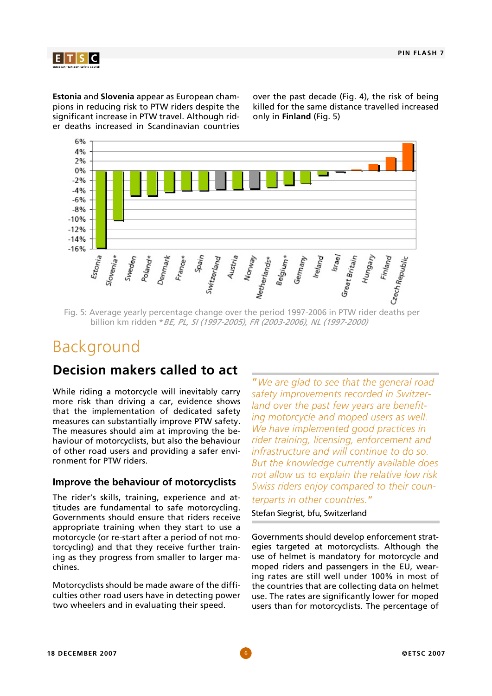

**Estonia** and **Slovenia** appear as European champions in reducing risk to PTW riders despite the significant increase in PTW travel. Although rider deaths increased in Scandinavian countries

over the past decade (Fig. 4), the risk of being killed for the same distance travelled increased only in **Finland** (Fig. 5)



Fig. 5: Average yearly percentage change over the period 1997-2006 in PTW rider deaths per billion km ridden \*BE, PL, SI (1997-2005), FR (2003-2006), NL (1997-2000)

# Background

# **Decision makers called to act**

While riding a motorcycle will inevitably carry more risk than driving a car, evidence shows that the implementation of dedicated safety measures can substantially improve PTW safety. The measures should aim at improving the behaviour of motorcyclists, but also the behaviour of other road users and providing a safer environment for PTW riders.

#### **Improve the behaviour of motorcyclists**

The rider's skills, training, experience and attitudes are fundamental to safe motorcycling. Governments should ensure that riders receive appropriate training when they start to use a motorcycle (or re-start after a period of not motorcycling) and that they receive further training as they progress from smaller to larger machines.

Motorcyclists should be made aware of the difficulties other road users have in detecting power two wheelers and in evaluating their speed.

"*We are glad to see that the general road safety improvements recorded in Switzerland over the past few years are benefiting motorcycle and moped users as well. We have implemented good practices in rider training, licensing, enforcement and infrastructure and will continue to do so. But the knowledge currently available does not allow us to explain the relative low risk Swiss riders enjoy compared to their coun-*

#### *terparts in other countries.*"

#### Stefan Siegrist, bfu, Switzerland

Governments should develop enforcement strategies targeted at motorcyclists. Although the use of helmet is mandatory for motorcycle and moped riders and passengers in the EU, wearing rates are still well under 100% in most of the countries that are collecting data on helmet use. The rates are significantly lower for moped users than for motorcyclists. The percentage of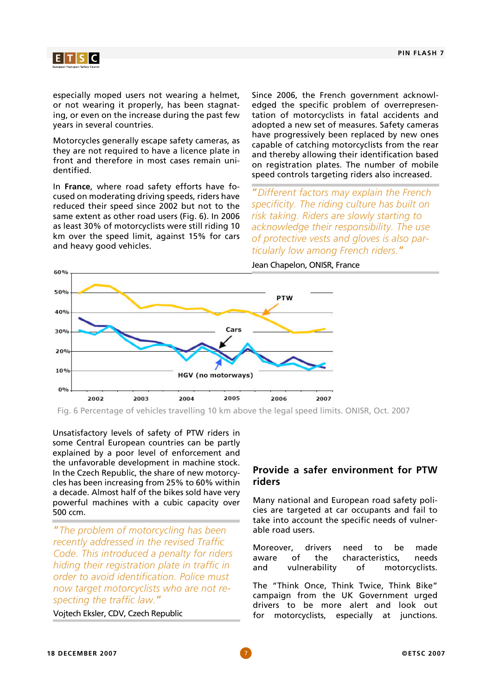

especially moped users not wearing a helmet, or not wearing it properly, has been stagnating, or even on the increase during the past few years in several countries.

Motorcycles generally escape safety cameras, as they are not required to have a licence plate in front and therefore in most cases remain unidentified.

In **France**, where road safety efforts have focused on moderating driving speeds, riders have reduced their speed since 2002 but not to the same extent as other road users (Fig. 6). In 2006 as least 30% of motorcyclists were still riding 10 km over the speed limit, against 15% for cars and heavy good vehicles.

Since 2006, the French government acknowledged the specific problem of overrepresentation of motorcyclists in fatal accidents and adopted a new set of measures. Safety cameras have progressively been replaced by new ones capable of catching motorcyclists from the rear and thereby allowing their identification based on registration plates. The number of mobile speed controls targeting riders also increased.

"*Different factors may explain the French specificity. The riding culture has built on risk taking. Riders are slowly starting to acknowledge their responsibility. The use of protective vests and gloves is also particularly low among French riders.*"

Jean Chapelon, ONISR, France



Fig. 6 Percentage of vehicles travelling 10 km above the legal speed limits. ONISR, Oct. 2007

Unsatisfactory levels of safety of PTW riders in some Central European countries can be partly explained by a poor level of enforcement and the unfavorable development in machine stock. In the Czech Republic, the share of new motorcycles has been increasing from 25% to 60% within a decade. Almost half of the bikes sold have very powerful machines with a cubic capacity over 500 ccm.

"*The problem of motorcycling has been recently addressed in the revised Traffic Code. This introduced a penalty for riders hiding their registration plate in traffic in order to avoid identification. Police must now target motorcyclists who are not respecting the traffic law.*"

#### Vojtech Eksler, CDV, Czech Republic

#### **Provide a safer environment for PTW riders**

Many national and European road safety policies are targeted at car occupants and fail to take into account the specific needs of vulnerable road users.

Moreover, drivers need to be made aware of the characteristics, needs and vulnerability of motorcyclists.

The "Think Once, Think Twice, Think Bike" campaign from the UK Government urged drivers to be more alert and look out for motorcyclists, especially at junctions.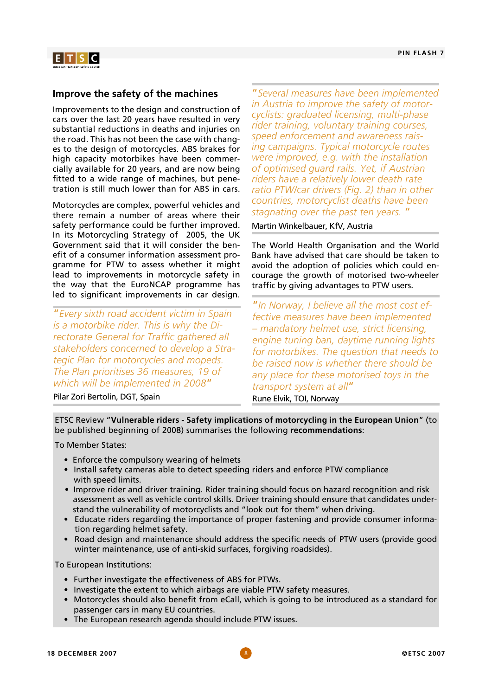

#### **Improve the safety of the machines**

Improvements to the design and construction of cars over the last 20 years have resulted in very substantial reductions in deaths and injuries on the road. This has not been the case with changes to the design of motorcycles. ABS brakes for high capacity motorbikes have been commercially available for 20 years, and are now being fitted to a wide range of machines, but penetration is still much lower than for ABS in cars.

Motorcycles are complex, powerful vehicles and there remain a number of areas where their safety performance could be further improved. In its Motorcycling Strategy of 2005, the UK Government said that it will consider the benefit of a consumer information assessment programme for PTW to assess whether it might lead to improvements in motorcycle safety in the way that the EuroNCAP programme has led to significant improvements in car design.

"*Every sixth road accident victim in Spain is a motorbike rider. This is why the Directorate General for Traffic gathered all stakeholders concerned to develop a Strategic Plan for motorcycles and mopeds. The Plan prioritises 36 measures, 19 of which will be implemented in 2008*"

"*Several measures have been implemented in Austria to improve the safety of motorcyclists: graduated licensing, multi-phase rider training, voluntary training courses, speed enforcement and awareness raising campaigns. Typical motorcycle routes were improved, e.g. with the installation of optimised guard rails. Yet, if Austrian riders have a relatively lower death rate ratio PTW/car drivers (Fig. 2) than in other countries, motorcyclist deaths have been stagnating over the past ten years.* "

Martin Winkelbauer, KfV, Austria

The World Health Organisation and the World Bank have advised that care should be taken to avoid the adoption of policies which could encourage the growth of motorised two-wheeler traffic by giving advantages to PTW users.

"*In Norway, I believe all the most cost effective measures have been implemented – mandatory helmet use, strict licensing, engine tuning ban, daytime running lights for motorbikes. The question that needs to be raised now is whether there should be any place for these motorised toys in the transport system at all*"

Pilar Zori Bertolin, DGT, Spain

Rune Elvik, TOI, Norway

ETSC Review "**Vulnerable riders - Safety implications of motorcycling in the European Union**" (to be published beginning of 2008) summarises the following **recommendations**:

To Member States:

- Enforce the compulsory wearing of helmets
- Install safety cameras able to detect speeding riders and enforce PTW compliance with speed limits.
- Improve rider and driver training. Rider training should focus on hazard recognition and risk assessment as well as vehicle control skills. Driver training should ensure that candidates understand the vulnerability of motorcyclists and "look out for them" when driving.
- Educate riders regarding the importance of proper fastening and provide consumer information regarding helmet safety.
- Road design and maintenance should address the specific needs of PTW users (provide good winter maintenance, use of anti-skid surfaces, forgiving roadsides).

To European Institutions:

- Further investigate the effectiveness of ABS for PTWs.
- Investigate the extent to which airbags are viable PTW safety measures.
- Motorcycles should also benefit from eCall, which is going to be introduced as a standard for passenger cars in many EU countries.
- The European research agenda should include PTW issues.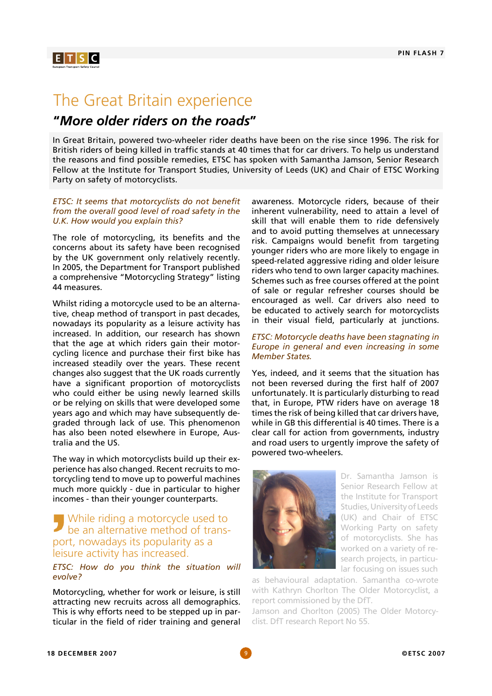$E[T|S]C$ 

# The Great Britain experience

## **"***More older riders on the roads***"**

In Great Britain, powered two-wheeler rider deaths have been on the rise since 1996. The risk for British riders of being killed in traffic stands at 40 times that for car drivers. To help us understand the reasons and find possible remedies, ETSC has spoken with Samantha Jamson, Senior Research Fellow at the Institute for Transport Studies, University of Leeds (UK) and Chair of ETSC Working Party on safety of motorcyclists.

#### *ETSC: It seems that motorcyclists do not benefit from the overall good level of road safety in the U.K. How would you explain this?*

The role of motorcycling, its benefits and the concerns about its safety have been recognised by the UK government only relatively recently. In 2005, the Department for Transport published a comprehensive "Motorcycling Strategy" listing 44 measures.

Whilst riding a motorcycle used to be an alternative, cheap method of transport in past decades, nowadays its popularity as a leisure activity has increased. In addition, our research has shown that the age at which riders gain their motorcycling licence and purchase their first bike has increased steadily over the years. These recent changes also suggest that the UK roads currently have a significant proportion of motorcyclists who could either be using newly learned skills or be relying on skills that were developed some years ago and which may have subsequently degraded through lack of use. This phenomenon has also been noted elsewhere in Europe, Australia and the US.

The way in which motorcyclists build up their experience has also changed. Recent recruits to motorcycling tend to move up to powerful machines much more quickly - due in particular to higher incomes - than their younger counterparts.

#### While riding a motorcycle used to be an alternative method of transport, nowadays its popularity as a leisure activity has increased.

#### *ETSC: How do you think the situation will evolve?*

Motorcycling, whether for work or leisure, is still attracting new recruits across all demographics. This is why efforts need to be stepped up in particular in the field of rider training and general

awareness. Motorcycle riders, because of their inherent vulnerability, need to attain a level of skill that will enable them to ride defensively and to avoid putting themselves at unnecessary risk. Campaigns would benefit from targeting younger riders who are more likely to engage in speed-related aggressive riding and older leisure riders who tend to own larger capacity machines. Schemes such as free courses offered at the point of sale or regular refresher courses should be encouraged as well. Car drivers also need to be educated to actively search for motorcyclists in their visual field, particularly at junctions.

#### *ETSC: Motorcycle deaths have been stagnating in Europe in general and even increasing in some Member States.*

Yes, indeed, and it seems that the situation has not been reversed during the first half of 2007 unfortunately. It is particularly disturbing to read that, in Europe, PTW riders have on average 18 times the risk of being killed that car drivers have, while in GB this differential is 40 times. There is a clear call for action from governments, industry and road users to urgently improve the safety of powered two-wheelers.



Dr. Samantha Jamson is Senior Research Fellow at the Institute for Transport Studies, University of Leeds (UK) and Chair of ETSC Working Party on safety of motorcyclists. She has worked on a variety of research projects, in particular focusing on issues such

as behavioural adaptation. Samantha co-wrote with Kathryn Chorlton The Older Motorcyclist, a report commissioned by the DfT.

Jamson and Chorlton (2005) The Older Motorcyclist. DfT research Report No 55.